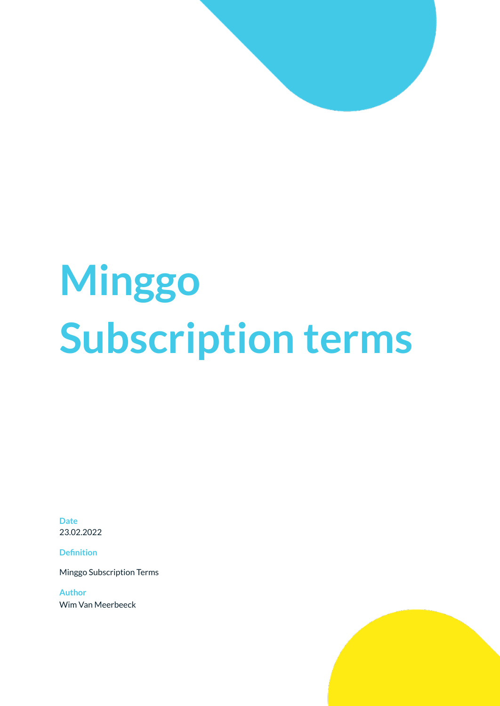# **Minggo Subscription terms**

**Date** 23.02.2022

**Definition**

Minggo Subscription Terms

**Author** Wim Van Meerbeeck

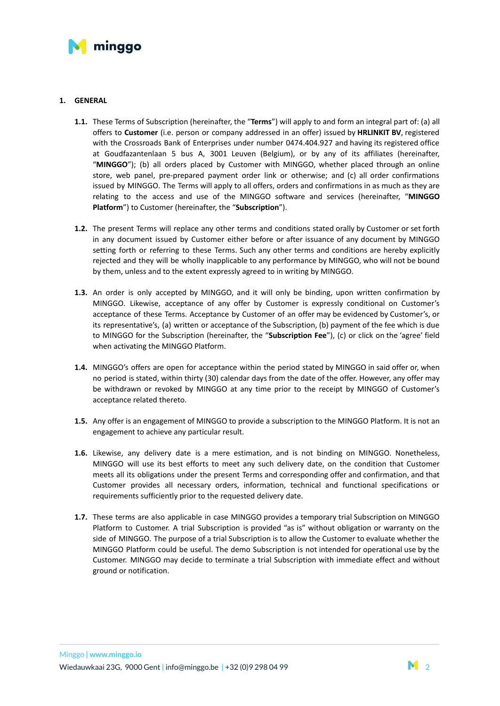

## **1. GENERAL**

- **1.1.** These Terms of Subscription (hereinafter, the "**Terms**") will apply to and form an integral part of: (a) all offers to **Customer** (i.e. person or company addressed in an offer) issued by **HRLINKIT BV**, registered with the Crossroads Bank of Enterprises under number 0474.404.927 and having its registered office at Goudfazantenlaan 5 bus A, 3001 Leuven (Belgium), or by any of its affiliates (hereinafter, "**MINGGO**"); (b) all orders placed by Customer with MINGGO, whether placed through an online store, web panel, pre-prepared payment order link or otherwise; and (c) all order confirmations issued by MINGGO. The Terms will apply to all offers, orders and confirmations in as much as they are relating to the access and use of the MINGGO software and services (hereinafter, "**MINGGO Platform**") to Customer (hereinafter, the "**Subscription**").
- **1.2.** The present Terms will replace any other terms and conditions stated orally by Customer or set forth in any document issued by Customer either before or after issuance of any document by MINGGO setting forth or referring to these Terms. Such any other terms and conditions are hereby explicitly rejected and they will be wholly inapplicable to any performance by MINGGO, who will not be bound by them, unless and to the extent expressly agreed to in writing by MINGGO.
- **1.3.** An order is only accepted by MINGGO, and it will only be binding, upon written confirmation by MINGGO. Likewise, acceptance of any offer by Customer is expressly conditional on Customer's acceptance of these Terms. Acceptance by Customer of an offer may be evidenced by Customer's, or its representative's, (a) written or acceptance of the Subscription, (b) payment of the fee which is due to MINGGO for the Subscription (hereinafter, the "**Subscription Fee**"), (c) or click on the 'agree' field when activating the MINGGO Platform.
- **1.4.** MINGGO's offers are open for acceptance within the period stated by MINGGO in said offer or, when no period is stated, within thirty (30) calendar days from the date of the offer. However, any offer may be withdrawn or revoked by MINGGO at any time prior to the receipt by MINGGO of Customer's acceptance related thereto.
- **1.5.** Any offer is an engagement of MINGGO to provide a subscription to the MINGGO Platform. It is not an engagement to achieve any particular result.
- **1.6.** Likewise, any delivery date is a mere estimation, and is not binding on MINGGO. Nonetheless, MINGGO will use its best efforts to meet any such delivery date, on the condition that Customer meets all its obligations under the present Terms and corresponding offer and confirmation, and that Customer provides all necessary orders, information, technical and functional specifications or requirements sufficiently prior to the requested delivery date.
- **1.7.** These terms are also applicable in case MINGGO provides a temporary trial Subscription on MINGGO Platform to Customer. A trial Subscription is provided "as is" without obligation or warranty on the side of MINGGO. The purpose of a trial Subscription is to allow the Customer to evaluate whether the MINGGO Platform could be useful. The demo Subscription is not intended for operational use by the Customer. MINGGO may decide to terminate a trial Subscription with immediate effect and without ground or notification.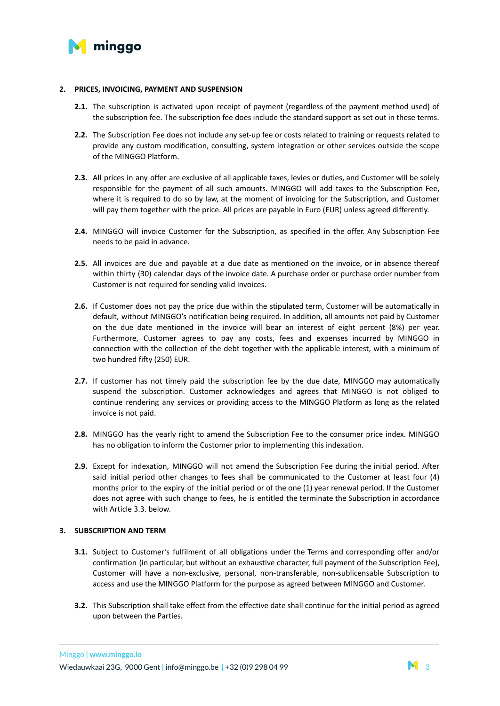

#### **2. PRICES, INVOICING, PAYMENT AND SUSPENSION**

- **2.1.** The subscription is activated upon receipt of payment (regardless of the payment method used) of the subscription fee. The subscription fee does include the standard support as set out in these terms.
- **2.2.** The Subscription Fee does not include any set-up fee or costs related to training or requests related to provide any custom modification, consulting, system integration or other services outside the scope of the MINGGO Platform.
- **2.3.** All prices in any offer are exclusive of all applicable taxes, levies or duties, and Customer will be solely responsible for the payment of all such amounts. MINGGO will add taxes to the Subscription Fee, where it is required to do so by law, at the moment of invoicing for the Subscription, and Customer will pay them together with the price. All prices are payable in Euro (EUR) unless agreed differently.
- **2.4.** MINGGO will invoice Customer for the Subscription, as specified in the offer. Any Subscription Fee needs to be paid in advance.
- **2.5.** All invoices are due and payable at a due date as mentioned on the invoice, or in absence thereof within thirty (30) calendar days of the invoice date. A purchase order or purchase order number from Customer is not required for sending valid invoices.
- **2.6.** If Customer does not pay the price due within the stipulated term, Customer will be automatically in default, without MINGGO's notification being required. In addition, all amounts not paid by Customer on the due date mentioned in the invoice will bear an interest of eight percent (8%) per year. Furthermore, Customer agrees to pay any costs, fees and expenses incurred by MINGGO in connection with the collection of the debt together with the applicable interest, with a minimum of two hundred fifty (250) EUR.
- **2.7.** If customer has not timely paid the subscription fee by the due date, MINGGO may automatically suspend the subscription. Customer acknowledges and agrees that MINGGO is not obliged to continue rendering any services or providing access to the MINGGO Platform as long as the related invoice is not paid.
- **2.8.** MINGGO has the yearly right to amend the Subscription Fee to the consumer price index. MINGGO has no obligation to inform the Customer prior to implementing this indexation.
- **2.9.** Except for indexation, MINGGO will not amend the Subscription Fee during the initial period. After said initial period other changes to fees shall be communicated to the Customer at least four (4) months prior to the expiry of the initial period or of the one (1) year renewal period. If the Customer does not agree with such change to fees, he is entitled the terminate the Subscription in accordance with Article 3.3. below.

## **3. SUBSCRIPTION AND TERM**

- **3.1.** Subject to Customer's fulfilment of all obligations under the Terms and corresponding offer and/or confirmation (in particular, but without an exhaustive character, full payment of the Subscription Fee), Customer will have a non-exclusive, personal, non-transferable, non-sublicensable Subscription to access and use the MINGGO Platform for the purpose as agreed between MINGGO and Customer.
- **3.2.** This Subscription shall take effect from the effective date shall continue for the initial period as agreed upon between the Parties.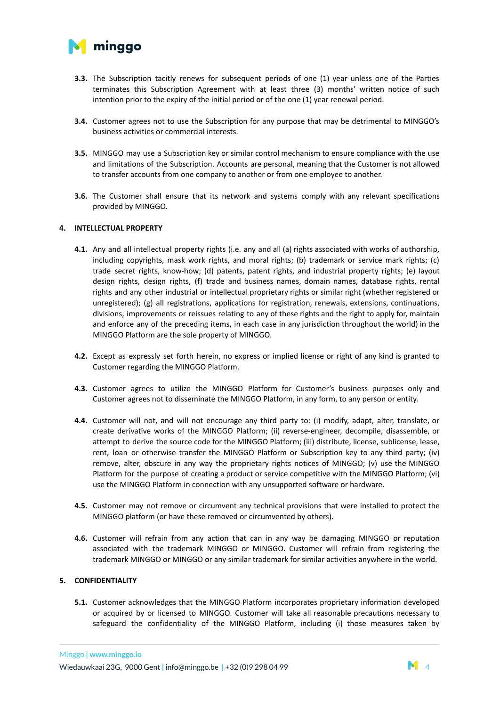

- **3.3.** The Subscription tacitly renews for subsequent periods of one (1) year unless one of the Parties terminates this Subscription Agreement with at least three (3) months' written notice of such intention prior to the expiry of the initial period or of the one (1) year renewal period.
- **3.4.** Customer agrees not to use the Subscription for any purpose that may be detrimental to MINGGO's business activities or commercial interests.
- **3.5.** MINGGO may use a Subscription key or similar control mechanism to ensure compliance with the use and limitations of the Subscription. Accounts are personal, meaning that the Customer is not allowed to transfer accounts from one company to another or from one employee to another.
- **3.6.** The Customer shall ensure that its network and systems comply with any relevant specifications provided by MINGGO.

#### **4. INTELLECTUAL PROPERTY**

- **4.1.** Any and all intellectual property rights (i.e. any and all (a) rights associated with works of authorship, including copyrights, mask work rights, and moral rights; (b) trademark or service mark rights; (c) trade secret rights, know-how; (d) patents, patent rights, and industrial property rights; (e) layout design rights, design rights, (f) trade and business names, domain names, database rights, rental rights and any other industrial or intellectual proprietary rights or similar right (whether registered or unregistered); (g) all registrations, applications for registration, renewals, extensions, continuations, divisions, improvements or reissues relating to any of these rights and the right to apply for, maintain and enforce any of the preceding items, in each case in any jurisdiction throughout the world) in the MINGGO Platform are the sole property of MINGGO.
- **4.2.** Except as expressly set forth herein, no express or implied license or right of any kind is granted to Customer regarding the MINGGO Platform.
- **4.3.** Customer agrees to utilize the MINGGO Platform for Customer's business purposes only and Customer agrees not to disseminate the MINGGO Platform, in any form, to any person or entity.
- **4.4.** Customer will not, and will not encourage any third party to: (i) modify, adapt, alter, translate, or create derivative works of the MINGGO Platform; (ii) reverse-engineer, decompile, disassemble, or attempt to derive the source code for the MINGGO Platform; (iii) distribute, license, sublicense, lease, rent, loan or otherwise transfer the MINGGO Platform or Subscription key to any third party; (iv) remove, alter, obscure in any way the proprietary rights notices of MINGGO; (v) use the MINGGO Platform for the purpose of creating a product or service competitive with the MINGGO Platform; (vi) use the MINGGO Platform in connection with any unsupported software or hardware.
- **4.5.** Customer may not remove or circumvent any technical provisions that were installed to protect the MINGGO platform (or have these removed or circumvented by others).
- **4.6.** Customer will refrain from any action that can in any way be damaging MINGGO or reputation associated with the trademark MINGGO or MINGGO. Customer will refrain from registering the trademark MINGGO or MINGGO or any similar trademark for similar activities anywhere in the world.

## **5. CONFIDENTIALITY**

**5.1.** Customer acknowledges that the MINGGO Platform incorporates proprietary information developed or acquired by or licensed to MINGGO. Customer will take all reasonable precautions necessary to safeguard the confidentiality of the MINGGO Platform, including (i) those measures taken by

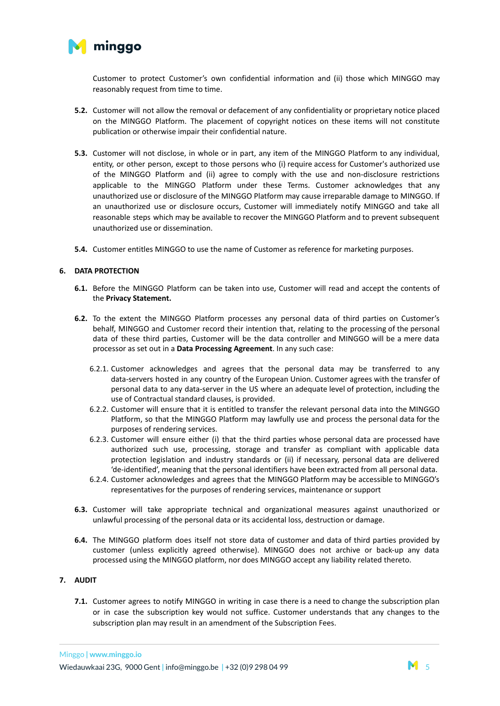

Customer to protect Customer's own confidential information and (ii) those which MINGGO may reasonably request from time to time.

- **5.2.** Customer will not allow the removal or defacement of any confidentiality or proprietary notice placed on the MINGGO Platform. The placement of copyright notices on these items will not constitute publication or otherwise impair their confidential nature.
- **5.3.** Customer will not disclose, in whole or in part, any item of the MINGGO Platform to any individual, entity, or other person, except to those persons who (i) require access for Customer's authorized use of the MINGGO Platform and (ii) agree to comply with the use and non-disclosure restrictions applicable to the MINGGO Platform under these Terms. Customer acknowledges that any unauthorized use or disclosure of the MINGGO Platform may cause irreparable damage to MINGGO. If an unauthorized use or disclosure occurs, Customer will immediately notify MINGGO and take all reasonable steps which may be available to recover the MINGGO Platform and to prevent subsequent unauthorized use or dissemination.
- **5.4.** Customer entitles MINGGO to use the name of Customer as reference for marketing purposes.

## **6. DATA PROTECTION**

- **6.1.** Before the MINGGO Platform can be taken into use, Customer will read and accept the contents of the **Privacy Statement.**
- **6.2.** To the extent the MINGGO Platform processes any personal data of third parties on Customer's behalf, MINGGO and Customer record their intention that, relating to the processing of the personal data of these third parties, Customer will be the data controller and MINGGO will be a mere data processor as set out in a **Data Processing Agreement**. In any such case:
	- 6.2.1. Customer acknowledges and agrees that the personal data may be transferred to any data-servers hosted in any country of the European Union. Customer agrees with the transfer of personal data to any data-server in the US where an adequate level of protection, including the use of Contractual standard clauses, is provided.
	- 6.2.2. Customer will ensure that it is entitled to transfer the relevant personal data into the MINGGO Platform, so that the MINGGO Platform may lawfully use and process the personal data for the purposes of rendering services.
	- 6.2.3. Customer will ensure either (i) that the third parties whose personal data are processed have authorized such use, processing, storage and transfer as compliant with applicable data protection legislation and industry standards or (ii) if necessary, personal data are delivered 'de-identified', meaning that the personal identifiers have been extracted from all personal data.
	- 6.2.4. Customer acknowledges and agrees that the MINGGO Platform may be accessible to MINGGO's representatives for the purposes of rendering services, maintenance or support
- **6.3.** Customer will take appropriate technical and organizational measures against unauthorized or unlawful processing of the personal data or its accidental loss, destruction or damage.
- **6.4.** The MINGGO platform does itself not store data of customer and data of third parties provided by customer (unless explicitly agreed otherwise). MINGGO does not archive or back-up any data processed using the MINGGO platform, nor does MINGGO accept any liability related thereto.

# **7. AUDIT**

**7.1.** Customer agrees to notify MINGGO in writing in case there is a need to change the subscription plan or in case the subscription key would not suffice. Customer understands that any changes to the subscription plan may result in an amendment of the Subscription Fees.

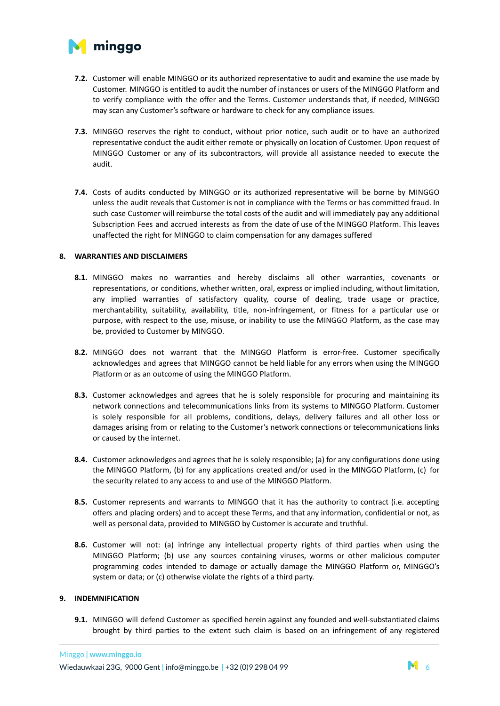

- **7.2.** Customer will enable MINGGO or its authorized representative to audit and examine the use made by Customer. MINGGO is entitled to audit the number of instances or users of the MINGGO Platform and to verify compliance with the offer and the Terms. Customer understands that, if needed, MINGGO may scan any Customer's software or hardware to check for any compliance issues.
- **7.3.** MINGGO reserves the right to conduct, without prior notice, such audit or to have an authorized representative conduct the audit either remote or physically on location of Customer. Upon request of MINGGO Customer or any of its subcontractors, will provide all assistance needed to execute the audit.
- **7.4.** Costs of audits conducted by MINGGO or its authorized representative will be borne by MINGGO unless the audit reveals that Customer is not in compliance with the Terms or has committed fraud. In such case Customer will reimburse the total costs of the audit and will immediately pay any additional Subscription Fees and accrued interests as from the date of use of the MINGGO Platform. This leaves unaffected the right for MINGGO to claim compensation for any damages suffered

## **8. WARRANTIES AND DISCLAIMERS**

- **8.1.** MINGGO makes no warranties and hereby disclaims all other warranties, covenants or representations, or conditions, whether written, oral, express or implied including, without limitation, any implied warranties of satisfactory quality, course of dealing, trade usage or practice, merchantability, suitability, availability, title, non-infringement, or fitness for a particular use or purpose, with respect to the use, misuse, or inability to use the MINGGO Platform, as the case may be, provided to Customer by MINGGO.
- **8.2.** MINGGO does not warrant that the MINGGO Platform is error-free. Customer specifically acknowledges and agrees that MINGGO cannot be held liable for any errors when using the MINGGO Platform or as an outcome of using the MINGGO Platform.
- **8.3.** Customer acknowledges and agrees that he is solely responsible for procuring and maintaining its network connections and telecommunications links from its systems to MINGGO Platform. Customer is solely responsible for all problems, conditions, delays, delivery failures and all other loss or damages arising from or relating to the Customer's network connections or telecommunications links or caused by the internet.
- **8.4.** Customer acknowledges and agrees that he is solely responsible; (a) for any configurations done using the MINGGO Platform, (b) for any applications created and/or used in the MINGGO Platform, (c) for the security related to any access to and use of the MINGGO Platform.
- **8.5.** Customer represents and warrants to MINGGO that it has the authority to contract (i.e. accepting offers and placing orders) and to accept these Terms, and that any information, confidential or not, as well as personal data, provided to MINGGO by Customer is accurate and truthful.
- **8.6.** Customer will not: (a) infringe any intellectual property rights of third parties when using the MINGGO Platform; (b) use any sources containing viruses, worms or other malicious computer programming codes intended to damage or actually damage the MINGGO Platform or, MINGGO's system or data; or (c) otherwise violate the rights of a third party.

## **9. INDEMNIFICATION**

**9.1.** MINGGO will defend Customer as specified herein against any founded and well-substantiated claims brought by third parties to the extent such claim is based on an infringement of any registered

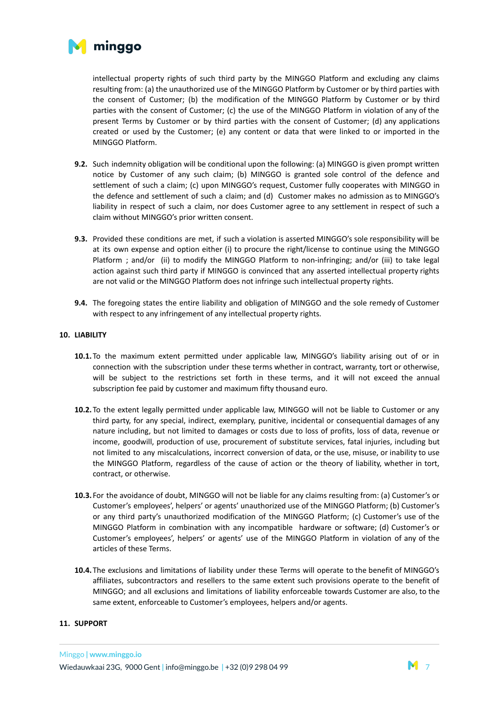

intellectual property rights of such third party by the MINGGO Platform and excluding any claims resulting from: (a) the unauthorized use of the MINGGO Platform by Customer or by third parties with the consent of Customer; (b) the modification of the MINGGO Platform by Customer or by third parties with the consent of Customer; (c) the use of the MINGGO Platform in violation of any of the present Terms by Customer or by third parties with the consent of Customer; (d) any applications created or used by the Customer; (e) any content or data that were linked to or imported in the MINGGO Platform.

- **9.2.** Such indemnity obligation will be conditional upon the following: (a) MINGGO is given prompt written notice by Customer of any such claim; (b) MINGGO is granted sole control of the defence and settlement of such a claim; (c) upon MINGGO's request, Customer fully cooperates with MINGGO in the defence and settlement of such a claim; and (d) Customer makes no admission as to MINGGO's liability in respect of such a claim, nor does Customer agree to any settlement in respect of such a claim without MINGGO's prior written consent.
- **9.3.** Provided these conditions are met, if such a violation is asserted MINGGO's sole responsibility will be at its own expense and option either (i) to procure the right/license to continue using the MINGGO Platform ; and/or (ii) to modify the MINGGO Platform to non-infringing; and/or (iii) to take legal action against such third party if MINGGO is convinced that any asserted intellectual property rights are not valid or the MINGGO Platform does not infringe such intellectual property rights.
- **9.4.** The foregoing states the entire liability and obligation of MINGGO and the sole remedy of Customer with respect to any infringement of any intellectual property rights.

#### **10. LIABILITY**

- **10.1.**To the maximum extent permitted under applicable law, MINGGO's liability arising out of or in connection with the subscription under these terms whether in contract, warranty, tort or otherwise, will be subject to the restrictions set forth in these terms, and it will not exceed the annual subscription fee paid by customer and maximum fifty thousand euro.
- **10.2.**To the extent legally permitted under applicable law, MINGGO will not be liable to Customer or any third party, for any special, indirect, exemplary, punitive, incidental or consequential damages of any nature including, but not limited to damages or costs due to loss of profits, loss of data, revenue or income, goodwill, production of use, procurement of substitute services, fatal injuries, including but not limited to any miscalculations, incorrect conversion of data, or the use, misuse, or inability to use the MINGGO Platform, regardless of the cause of action or the theory of liability, whether in tort, contract, or otherwise.
- **10.3.** For the avoidance of doubt, MINGGO will not be liable for any claims resulting from: (a) Customer's or Customer's employees', helpers' or agents' unauthorized use of the MINGGO Platform; (b) Customer's or any third party's unauthorized modification of the MINGGO Platform; (c) Customer's use of the MINGGO Platform in combination with any incompatible hardware or software; (d) Customer's or Customer's employees', helpers' or agents' use of the MINGGO Platform in violation of any of the articles of these Terms.
- **10.4.**The exclusions and limitations of liability under these Terms will operate to the benefit of MINGGO's affiliates, subcontractors and resellers to the same extent such provisions operate to the benefit of MINGGO; and all exclusions and limitations of liability enforceable towards Customer are also, to the same extent, enforceable to Customer's employees, helpers and/or agents.

#### **11. SUPPORT**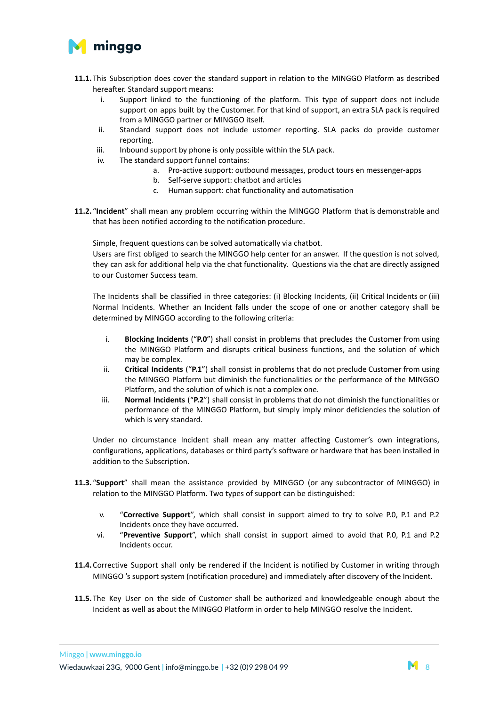

- **11.1.**This Subscription does cover the standard support in relation to the MINGGO Platform as described hereafter. Standard support means:
	- i. Support linked to the functioning of the platform. This type of support does not include support on apps built by the Customer. For that kind of support, an extra SLA pack is required from a MINGGO partner or MINGGO itself.
	- ii. Standard support does not include ustomer reporting. SLA packs do provide customer reporting.
	- iii. Inbound support by phone is only possible within the SLA pack.
	- iv. The standard support funnel contains:
		- a. Pro-active support: outbound messages, product tours en messenger-apps
		- b. Self-serve support: chatbot and articles
		- c. Human support: chat functionality and automatisation
- **11.2.** "**Incident**" shall mean any problem occurring within the MINGGO Platform that is demonstrable and that has been notified according to the notification procedure.

Simple, frequent questions can be solved automatically via chatbot.

Users are first obliged to search the MINGGO help center for an answer. If the question is not solved, they can ask for additional help via the chat functionality. Questions via the chat are directly assigned to our Customer Success team.

The Incidents shall be classified in three categories: (i) Blocking Incidents, (ii) Critical Incidents or (iii) Normal Incidents. Whether an Incident falls under the scope of one or another category shall be determined by MINGGO according to the following criteria:

- i. **Blocking Incidents** ("**P.0**") shall consist in problems that precludes the Customer from using the MINGGO Platform and disrupts critical business functions, and the solution of which may be complex.
- ii. **Critical Incidents** ("**P.1**") shall consist in problems that do not preclude Customer from using the MINGGO Platform but diminish the functionalities or the performance of the MINGGO Platform, and the solution of which is not a complex one.
- iii. **Normal Incidents** ("**P.2**") shall consist in problems that do not diminish the functionalities or performance of the MINGGO Platform, but simply imply minor deficiencies the solution of which is very standard.

Under no circumstance Incident shall mean any matter affecting Customer's own integrations, configurations, applications, databases or third party's software or hardware that has been installed in addition to the Subscription.

- **11.3.** "**Support**" shall mean the assistance provided by MINGGO (or any subcontractor of MINGGO) in relation to the MINGGO Platform. Two types of support can be distinguished:
	- v. "**Corrective Support**", which shall consist in support aimed to try to solve P.0, P.1 and P.2 Incidents once they have occurred.
	- vi. "**Preventive Support**", which shall consist in support aimed to avoid that P.0, P.1 and P.2 Incidents occur.
- **11.4.**Corrective Support shall only be rendered if the Incident is notified by Customer in writing through MINGGO 's support system (notification procedure) and immediately after discovery of the Incident.
- **11.5.**The Key User on the side of Customer shall be authorized and knowledgeable enough about the Incident as well as about the MINGGO Platform in order to help MINGGO resolve the Incident.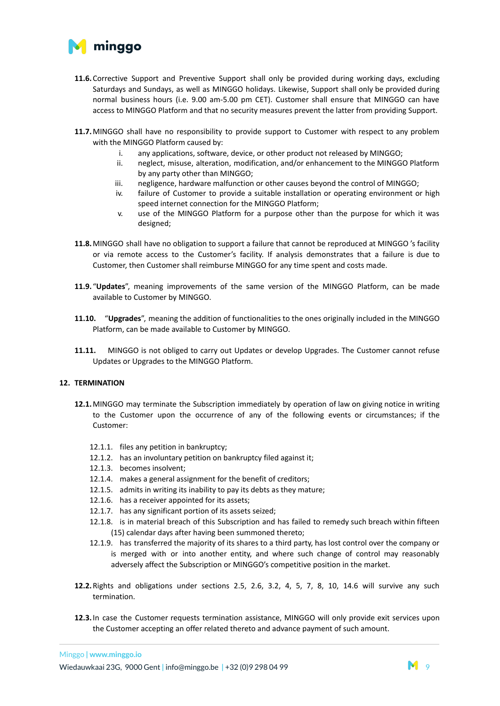

- **11.6.**Corrective Support and Preventive Support shall only be provided during working days, excluding Saturdays and Sundays, as well as MINGGO holidays. Likewise, Support shall only be provided during normal business hours (i.e. 9.00 am-5.00 pm CET). Customer shall ensure that MINGGO can have access to MINGGO Platform and that no security measures prevent the latter from providing Support.
- **11.7.**MINGGO shall have no responsibility to provide support to Customer with respect to any problem with the MINGGO Platform caused by:
	- i. any applications, software, device, or other product not released by MINGGO;
	- ii. neglect, misuse, alteration, modification, and/or enhancement to the MINGGO Platform by any party other than MINGGO;
	- iii. negligence, hardware malfunction or other causes beyond the control of MINGGO;
	- iv. failure of Customer to provide a suitable installation or operating environment or high speed internet connection for the MINGGO Platform;
	- v. use of the MINGGO Platform for a purpose other than the purpose for which it was designed;
- **11.8.**MINGGO shall have no obligation to support a failure that cannot be reproduced at MINGGO 's facility or via remote access to the Customer's facility. If analysis demonstrates that a failure is due to Customer, then Customer shall reimburse MINGGO for any time spent and costs made.
- **11.9.** "**Updates**", meaning improvements of the same version of the MINGGO Platform, can be made available to Customer by MINGGO.
- **11.10.** "**Upgrades**", meaning the addition of functionalities to the ones originally included in the MINGGO Platform, can be made available to Customer by MINGGO.
- **11.11.** MINGGO is not obliged to carry out Updates or develop Upgrades. The Customer cannot refuse Updates or Upgrades to the MINGGO Platform.

## **12. TERMINATION**

- **12.1.**MINGGO may terminate the Subscription immediately by operation of law on giving notice in writing to the Customer upon the occurrence of any of the following events or circumstances; if the Customer:
	- 12.1.1. files any petition in bankruptcy;
	- 12.1.2. has an involuntary petition on bankruptcy filed against it;
	- 12.1.3. becomes insolvent;
	- 12.1.4. makes a general assignment for the benefit of creditors;
	- 12.1.5. admits in writing its inability to pay its debts as they mature;
	- 12.1.6. has a receiver appointed for its assets;
	- 12.1.7. has any significant portion of its assets seized;
	- 12.1.8. is in material breach of this Subscription and has failed to remedy such breach within fifteen (15) calendar days after having been summoned thereto;
	- 12.1.9. has transferred the majority of its shares to a third party, has lost control over the company or is merged with or into another entity, and where such change of control may reasonably adversely affect the Subscription or MINGGO's competitive position in the market.
- **12.2.**Rights and obligations under sections 2.5, 2.6, 3.2, 4, 5, 7, 8, 10, 14.6 will survive any such termination.
- **12.3.**In case the Customer requests termination assistance, MINGGO will only provide exit services upon the Customer accepting an offer related thereto and advance payment of such amount.

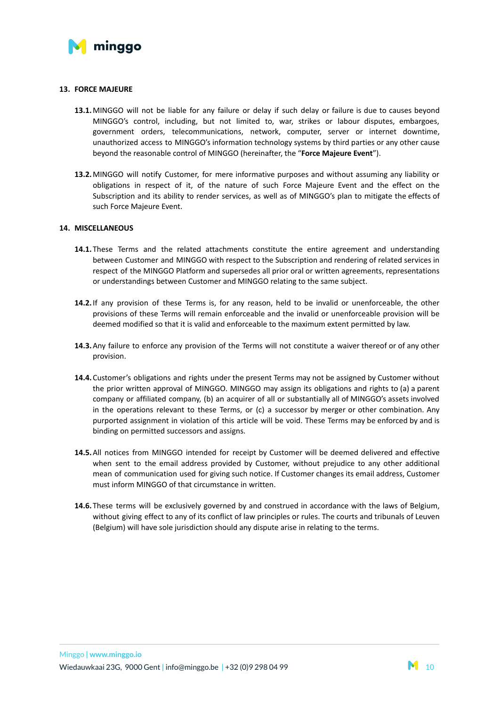

#### **13. FORCE MAJEURE**

- **13.1.**MINGGO will not be liable for any failure or delay if such delay or failure is due to causes beyond MINGGO's control, including, but not limited to, war, strikes or labour disputes, embargoes, government orders, telecommunications, network, computer, server or internet downtime, unauthorized access to MINGGO's information technology systems by third parties or any other cause beyond the reasonable control of MINGGO (hereinafter, the "**Force Majeure Event**").
- **13.2.**MINGGO will notify Customer, for mere informative purposes and without assuming any liability or obligations in respect of it, of the nature of such Force Majeure Event and the effect on the Subscription and its ability to render services, as well as of MINGGO's plan to mitigate the effects of such Force Majeure Event.

#### **14. MISCELLANEOUS**

- **14.1.**These Terms and the related attachments constitute the entire agreement and understanding between Customer and MINGGO with respect to the Subscription and rendering of related services in respect of the MINGGO Platform and supersedes all prior oral or written agreements, representations or understandings between Customer and MINGGO relating to the same subject.
- **14.2.**If any provision of these Terms is, for any reason, held to be invalid or unenforceable, the other provisions of these Terms will remain enforceable and the invalid or unenforceable provision will be deemed modified so that it is valid and enforceable to the maximum extent permitted by law.
- **14.3.**Any failure to enforce any provision of the Terms will not constitute a waiver thereof or of any other provision.
- **14.4.**Customer's obligations and rights under the present Terms may not be assigned by Customer without the prior written approval of MINGGO. MINGGO may assign its obligations and rights to (a) a parent company or affiliated company, (b) an acquirer of all or substantially all of MINGGO's assets involved in the operations relevant to these Terms, or (c) a successor by merger or other combination. Any purported assignment in violation of this article will be void. These Terms may be enforced by and is binding on permitted successors and assigns.
- **14.5.**All notices from MINGGO intended for receipt by Customer will be deemed delivered and effective when sent to the email address provided by Customer, without prejudice to any other additional mean of communication used for giving such notice. If Customer changes its email address, Customer must inform MINGGO of that circumstance in written.
- **14.6.**These terms will be exclusively governed by and construed in accordance with the laws of Belgium, without giving effect to any of its conflict of law principles or rules. The courts and tribunals of Leuven (Belgium) will have sole jurisdiction should any dispute arise in relating to the terms.